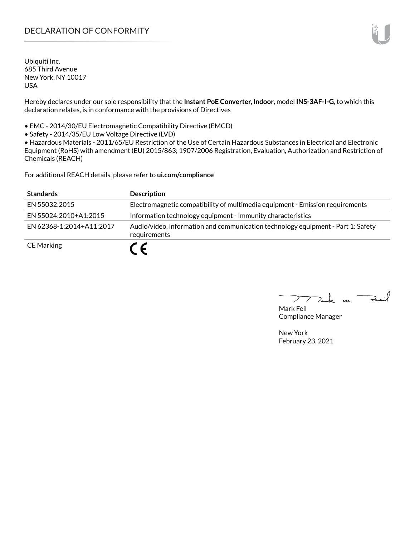# DECLARATION OF CONFORMITY

Ubiquiti Inc. 685 Third Avenue New York, NY 10017 USA

Hereby declares under our sole responsibility that the **Instant PoE Converter, Indoor**, model **INS-3AF-I-G**, to which this declaration relates, is in conformance with the provisions of Directives

• EMC - 2014/30/EU Electromagnetic Compatibility Directive (EMCD)

• Safety - 2014/35/EU Low Voltage Directive (LVD)

• Hazardous Materials - 2011/65/EU Restriction of the Use of Certain Hazardous Substances in Electrical and Electronic Equipment (RoHS) with amendment (EU) 2015/863; 1907/2006 Registration, Evaluation, Authorization and Restriction of Chemicals (REACH)

For additional REACH details, please refer to **<ui.com/compliance>**

| <b>Standards</b>         | <b>Description</b>                                                                               |
|--------------------------|--------------------------------------------------------------------------------------------------|
| EN 55032:2015            | Electromagnetic compatibility of multimedia equipment - Emission requirements                    |
| EN 55024:2010+A1:2015    | Information technology equipment - Immunity characteristics                                      |
| FN 62368-1:2014+A11:2017 | Audio/video, information and communication technology equipment - Part 1: Safety<br>requirements |
| <b>CE Marking</b>        | C E                                                                                              |

Tak m. Fail  $\sum$ 

Mark Feil Compliance Manager

New York February 23, 2021